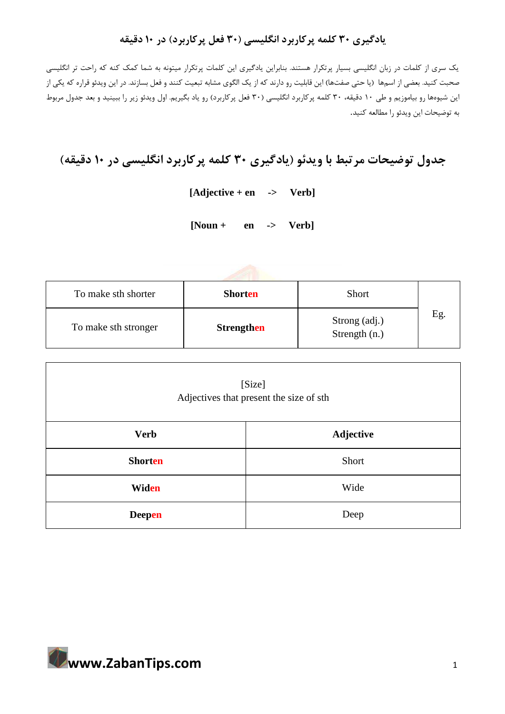## **یادگیری 30 کلمه پرکاربرد انگلیسی ) 30 فعل پرکاربرد( در 10 دقیقه**

یک سری از کلمات در زبان انگلیسی بسیار پرتکرار هستند. بنابراین یادگیری این کلمات پرتکرار میتونه به شما کمک کنه که راحت تر انگلیسی صحبت کنید. بعضی از اسمها (یا حتی صفتها) این قابلیت رو دارند که از یک الگوی مشابه تبعیت کنند و فعل بسازند. در این ویدئو قراره که یکی از این شیوهها رو بیاموزیم و طی ١٠ دقیقه، ٣٠ کلمه پرکاربرد انگلیسی (٣٠ فعل پرکاربرد) رو یاد بگیریم. اول ویدئو زیر را ببینید و بعد جدول مربوط به توضیحات این ویدئو را مطالعه کنید .

## **جدول توضیحات مرتبط با ویدئو )یادگیری 30 کلمه پرکاربرد انگلیسی در 10 دقیقه(**

**[Adjective + en -> Verb]**

**[Noun + en -> Verb]**

| To make sth shorter  | <b>Shorten</b>    | <b>Short</b>                     |    |
|----------------------|-------------------|----------------------------------|----|
| To make sth stronger | <b>Strengthen</b> | Strong (adj.)<br>Strength $(n.)$ | Eg |

| [Size]<br>Adjectives that present the size of sth |           |  |
|---------------------------------------------------|-----------|--|
| <b>Verb</b>                                       | Adjective |  |
| <b>Shorten</b>                                    | Short     |  |
| Widen                                             | Wide      |  |
| <b>Deepen</b>                                     | Deep      |  |

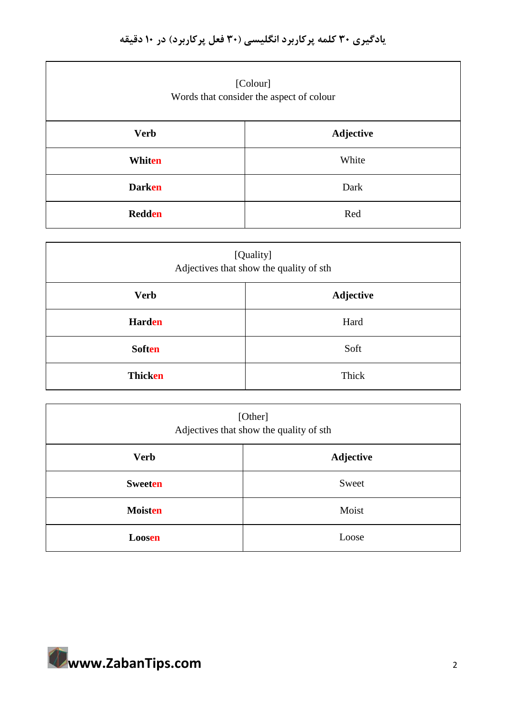| [Colour]<br>Words that consider the aspect of colour |           |  |
|------------------------------------------------------|-----------|--|
| <b>Verb</b>                                          | Adjective |  |
| Whiten                                               | White     |  |
| <b>Darken</b>                                        | Dark      |  |
| <b>Redden</b>                                        | Red       |  |

| [Quality]<br>Adjectives that show the quality of sth |                  |  |
|------------------------------------------------------|------------------|--|
| <b>Verb</b>                                          | <b>Adjective</b> |  |
| <b>Harden</b>                                        | Hard             |  |
| <b>Soften</b>                                        | Soft             |  |
| Thicken                                              | Thick            |  |

|             |                                          | [Other]          |
|-------------|------------------------------------------|------------------|
|             | Adjectives that show the quality of sth. |                  |
| <b>Verb</b> |                                          | <b>Adjective</b> |

| <b>Verb</b>    | Adjective |  |
|----------------|-----------|--|
| <b>Sweeten</b> | Sweet     |  |
| <b>Moisten</b> | Moist     |  |
| Loosen         | Loose     |  |